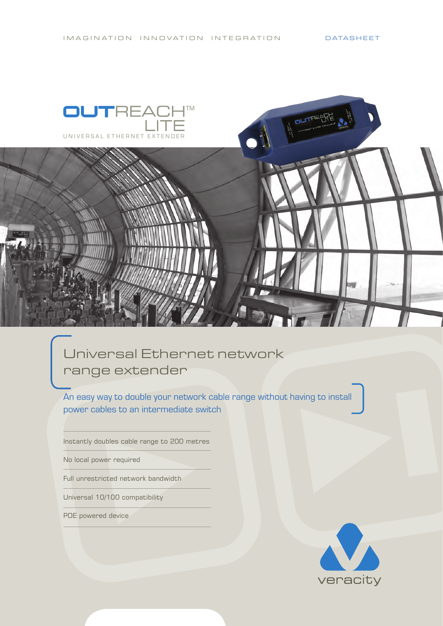

## Universal Ethernet network range extender

An easy way to double your network cable range without having to install power cables to an intermediate switch

Instantly doubles cable range to 200 metres

No local power required

Full unrestricted network bandwidth

Universal 10/100 compatibility

POE powered device

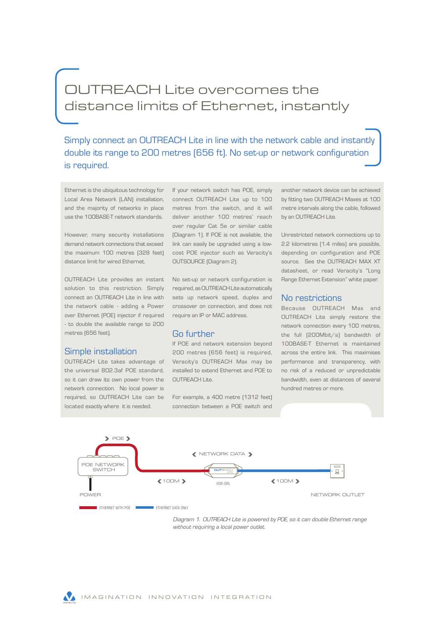## OUTREACH Lite overcomes the distance limits of Ethernet, instantly

Simply connect an OUTREACH Lite in line with the network cable and instantly double its range to 200 metres (656 ft). No set-up or network configuration is required.

Ethernet is the ubiquitous technology for Local Area Network (LAN) installation, and the majority of networks in place use the 100BASE-T network standards.

demand network connections that exceed link can easily be upgraded using a lowthe maximum 100 metres (328 feet) cost POE injector such as Veracity's distance limit for wired Ethernet.

OUTREACH Lite provides an instant No set-up or network configuration is solution to this restriction. Simply connect an OUTREACH Lite in line with sets up network speed, duplex and the network cable - adding a Power over Ethernet (POE) injector if required - to double the available range to 200 metres (656 feet).

#### Simple installation

the universal 802.3af POE standard, so it can draw its own power from the network connection. No local power is located exactly where it is needed.

However, many security installations (Diagram 1). If POE is not available, the Unrestricted network connections up to If your network switch has POE, simply connect OUTREACH Lite up to 100 metres from the switch, and it will deliver another 100 metres' reach over regular Cat 5e or similar cable OUTSOURCE (Diagram 2).

> required, as OUTREACH Lite automatically crossover on connection, and does not require an IP or MAC address.

#### Go further

OUTREACH Lite takes advantage of Veracity's OUTREACH Max may be If POE and network extension beyond 200 metres (656 feet) is required, installed to extend Ethernet and POE to OUTREACH Lite.

required, so OUTREACH Lite can be For example, a 400 metre (1312 feet) connection between a POE switch and another network device can be achieved by fitting two OUTREACH Maxes at 100 metre intervals along the cable, followed by an OUTREACH Lite.

2.2 kilometres (1.4 miles) are possible, depending on configuration and POE source. See the OUTREACH MAX XT datasheet, or read Veracity's "Long Range Ethernet Extension" white paper.

#### No restrictions

Because OUTREACH Max and OUTREACH Lite simply restore the network connection every 100 metres, the full (200Mbit/s) bandwidth of 100BASE-T Ethernet is maintained across the entire link. This maximises performance and transparency, with no risk of a reduced or unpredictable bandwidth, even at distances of several hundred metres or more.



*Diagram 1. OUTREACH Lite is powered by POE, so it can double Ethernet range without requiring a local power outlet.*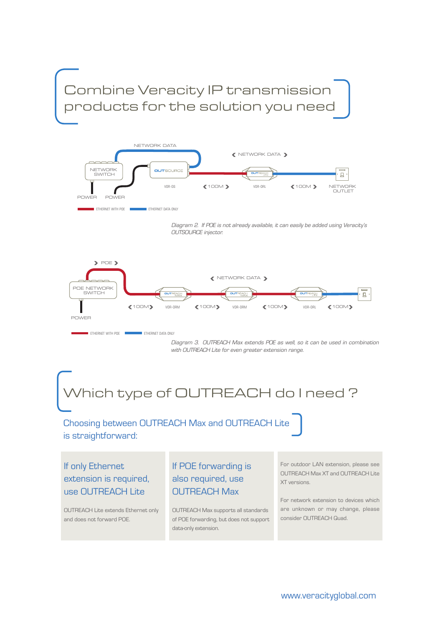Combine Veracity IP transmission products for the solution you need



*Diagram 2. If POE is not already available, it can easily be added using Veracity's OUTSOURCE injector.*



*Diagram 3. OUTREACH Max extends POE as well, so it can be used in combination with OUTREACH Lite for even greater extension range.*

# Which type of OUTREACH do I need?

### Choosing between OUTREACH Max and OUTREACH Lite is straightforward:

If only Ethernet extension is required, use OUTREACH Lite

OUTREACH Lite extends Ethernet only and does not forward POE.

### If POE forwarding is also required, use OUTREACH Max

OUTREACH Max supports all standards of POE forwarding, but does not support data-only extension.

For outdoor LAN extension, please see OUTREACH Max XT and OUTREACH Lite XT versions.

For network extension to devices which are unknown or may change, please consider OUTREACH Quad.